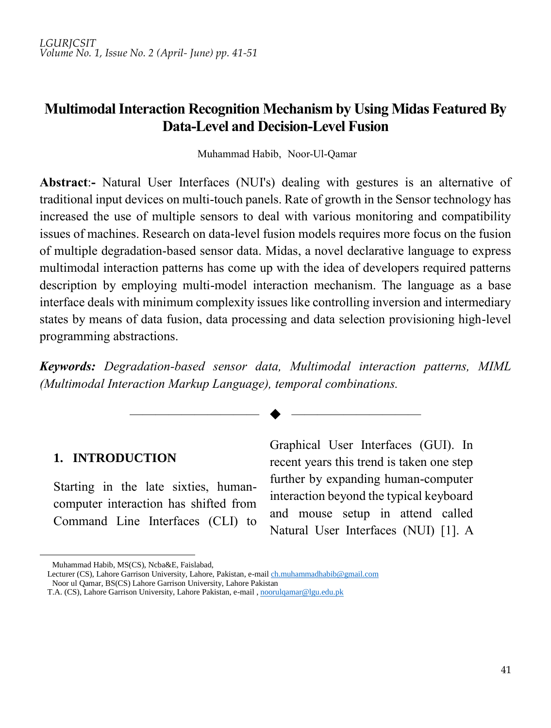*LGURJCSIT Volume No. 1, Issue No. 2 (April- June) pp. 41-51*

# **Multimodal Interaction Recognition Mechanism by Using Midas Featured By Data-Level and Decision-Level Fusion**

Muhammad Habib, Noor-Ul-Qamar

**Abstract**:**-** Natural User Interfaces (NUI's) dealing with gestures is an alternative of traditional input devices on multi-touch panels. Rate of growth in the Sensor technology has increased the use of multiple sensors to deal with various monitoring and compatibility issues of machines. Research on data-level fusion models requires more focus on the fusion of multiple degradation-based sensor data. Midas, a novel declarative language to express multimodal interaction patterns has come up with the idea of developers required patterns description by employing multi-model interaction mechanism. The language as a base interface deals with minimum complexity issues like controlling inversion and intermediary states by means of data fusion, data processing and data selection provisioning high-level programming abstractions.

*Keywords: Degradation-based sensor data, Multimodal interaction patterns, MIML (Multimodal Interaction Markup Language), temporal combinations.*

—————————— ——————————

#### **1. INTRODUCTION**

Starting in the late sixties, humancomputer interaction has shifted from Command Line Interfaces (CLI) to

Graphical User Interfaces (GUI). In recent years this trend is taken one step further by expanding human-computer interaction beyond the typical keyboard and mouse setup in attend called Natural User Interfaces (NUI) [1]. A

1

<sup>8</sup> Muhammad Habib, MS(CS), Ncba&E, Faislabad,

Lecturer (CS), Lahore Garrison University, Lahore, Pakistan, e-mai[l ch.muhammadhabib@gmail.com](mailto:ch.muhammadhabib@gmail.com) <sup>9</sup> Noor ul Qamar, BS(CS) Lahore Garrison University, Lahore Pakistan

T.A. (CS), Lahore Garrison University, Lahore Pakistan, e-mail[, noorulqamar@lgu.edu.pk](mailto:noorulqamar@lgu.edu.pk)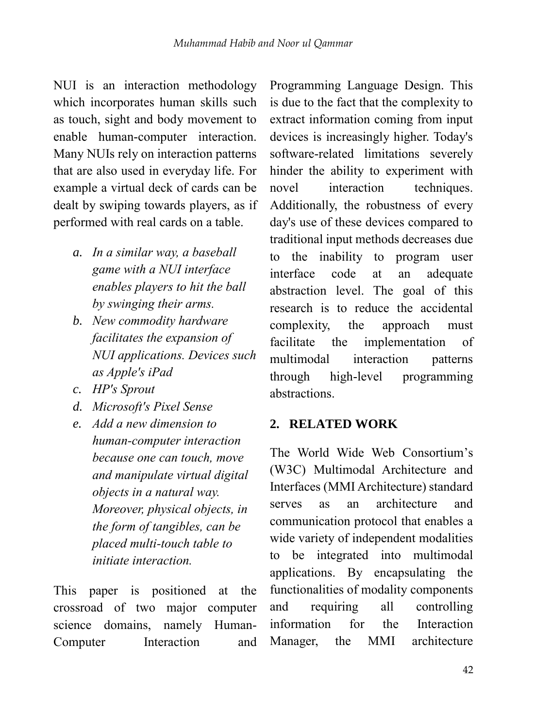NUI is an interaction methodology which incorporates human skills such as touch, sight and body movement to enable human-computer interaction. Many NUIs rely on interaction patterns that are also used in everyday life. For example a virtual deck of cards can be dealt by swiping towards players, as if performed with real cards on a table.

- *a. In a similar way, a baseball game with a NUI interface enables players to hit the ball by swinging their arms.*
- *b. New commodity hardware facilitates the expansion of NUI applications. Devices such as Apple's iPad*
- *c. HP's Sprout*
- *d. Microsoft's Pixel Sense*
- *e. Add a new dimension to human-computer interaction because one can touch, move and manipulate virtual digital objects in a natural way. Moreover, physical objects, in the form of tangibles, can be placed multi-touch table to initiate interaction.*

This paper is positioned at the crossroad of two major computer science domains, namely Human-Computer Interaction and Programming Language Design. This is due to the fact that the complexity to extract information coming from input devices is increasingly higher. Today's software-related limitations severely hinder the ability to experiment with novel interaction techniques. Additionally, the robustness of every day's use of these devices compared to traditional input methods decreases due to the inability to program user interface code at an adequate abstraction level. The goal of this research is to reduce the accidental complexity, the approach must facilitate the implementation of multimodal interaction patterns through high-level programming abstractions.

#### **2. RELATED WORK**

The World Wide Web Consortium's (W3C) Multimodal Architecture and Interfaces (MMI Architecture) standard serves as an architecture and communication protocol that enables a wide variety of independent modalities to be integrated into multimodal applications. By encapsulating the functionalities of modality components and requiring all controlling information for the Interaction Manager, the MMI architecture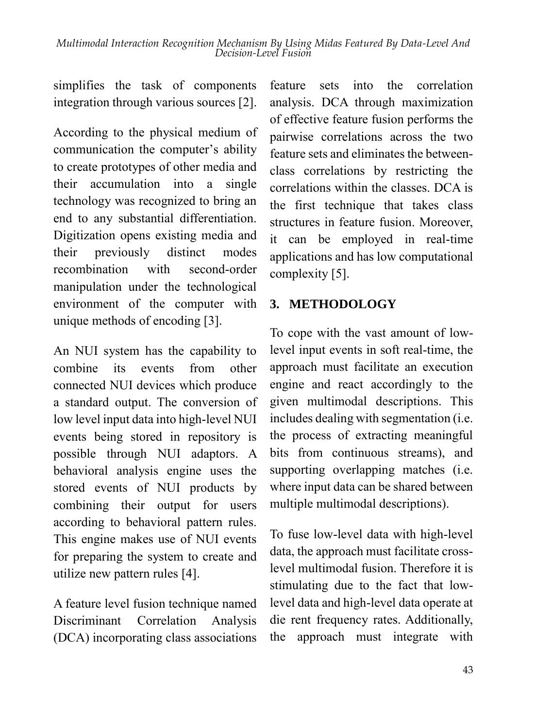simplifies the task of components integration through various sources [2].

According to the physical medium of communication the computer's ability to create prototypes of other media and their accumulation into a single technology was recognized to bring an end to any substantial differentiation. Digitization opens existing media and their previously distinct modes recombination with second-order manipulation under the technological environment of the computer with unique methods of encoding [3].

An NUI system has the capability to combine its events from other connected NUI devices which produce a standard output. The conversion of low level input data into high-level NUI events being stored in repository is possible through NUI adaptors. A behavioral analysis engine uses the stored events of NUI products by combining their output for users according to behavioral pattern rules. This engine makes use of NUI events for preparing the system to create and utilize new pattern rules [4].

A feature level fusion technique named Discriminant Correlation Analysis (DCA) incorporating class associations feature sets into the correlation analysis. DCA through maximization of effective feature fusion performs the pairwise correlations across the two feature sets and eliminates the betweenclass correlations by restricting the correlations within the classes. DCA is the first technique that takes class structures in feature fusion. Moreover, it can be employed in real-time applications and has low computational complexity [5].

### **3. METHODOLOGY**

To cope with the vast amount of lowlevel input events in soft real-time, the approach must facilitate an execution engine and react accordingly to the given multimodal descriptions. This includes dealing with segmentation (i.e. the process of extracting meaningful bits from continuous streams), and supporting overlapping matches (i.e. where input data can be shared between multiple multimodal descriptions).

To fuse low-level data with high-level data, the approach must facilitate crosslevel multimodal fusion. Therefore it is stimulating due to the fact that lowlevel data and high-level data operate at die rent frequency rates. Additionally, the approach must integrate with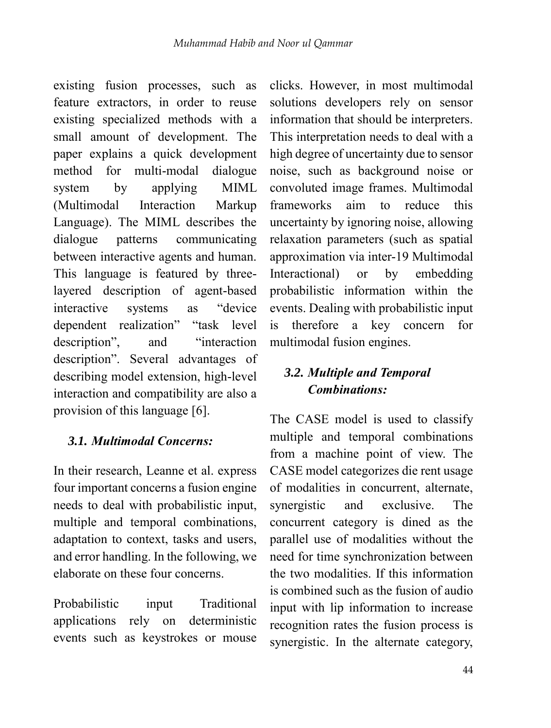existing fusion processes, such as feature extractors, in order to reuse existing specialized methods with a small amount of development. The paper explains a quick development method for multi-modal dialogue system by applying MIML (Multimodal Interaction Markup Language). The MIML describes the dialogue patterns communicating between interactive agents and human. This language is featured by threelayered description of agent-based interactive systems as "device dependent realization" "task level description", and "interaction description". Several advantages of describing model extension, high-level interaction and compatibility are also a provision of this language [6].

#### *3.1. Multimodal Concerns:*

In their research, Leanne et al. express four important concerns a fusion engine needs to deal with probabilistic input, multiple and temporal combinations, adaptation to context, tasks and users, and error handling. In the following, we elaborate on these four concerns.

Probabilistic input Traditional applications rely on deterministic events such as keystrokes or mouse

clicks. However, in most multimodal solutions developers rely on sensor information that should be interpreters. This interpretation needs to deal with a high degree of uncertainty due to sensor noise, such as background noise or convoluted image frames. Multimodal frameworks aim to reduce this uncertainty by ignoring noise, allowing relaxation parameters (such as spatial approximation via inter-19 Multimodal Interactional) or by embedding probabilistic information within the events. Dealing with probabilistic input is therefore a key concern for multimodal fusion engines.

## *3.2. Multiple and Temporal Combinations:*

The CASE model is used to classify multiple and temporal combinations from a machine point of view. The CASE model categorizes die rent usage of modalities in concurrent, alternate, synergistic and exclusive. The concurrent category is dined as the parallel use of modalities without the need for time synchronization between the two modalities. If this information is combined such as the fusion of audio input with lip information to increase recognition rates the fusion process is synergistic. In the alternate category,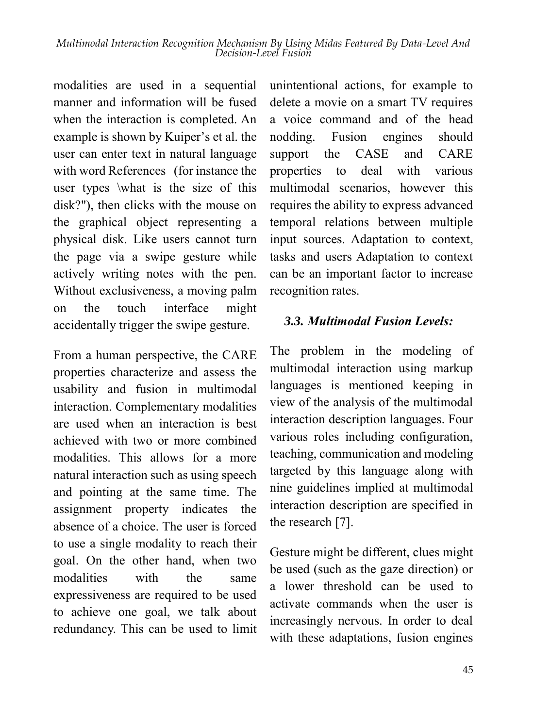modalities are used in a sequential manner and information will be fused when the interaction is completed. An example is shown by Kuiper's et al. the user can enter text in natural language with word References (for instance the user types \what is the size of this disk?"), then clicks with the mouse on the graphical object representing a physical disk. Like users cannot turn the page via a swipe gesture while actively writing notes with the pen. Without exclusiveness, a moving palm on the touch interface might accidentally trigger the swipe gesture.

From a human perspective, the CARE properties characterize and assess the usability and fusion in multimodal interaction. Complementary modalities are used when an interaction is best achieved with two or more combined modalities. This allows for a more natural interaction such as using speech and pointing at the same time. The assignment property indicates the absence of a choice. The user is forced to use a single modality to reach their goal. On the other hand, when two modalities with the same expressiveness are required to be used to achieve one goal, we talk about redundancy. This can be used to limit

unintentional actions, for example to delete a movie on a smart TV requires a voice command and of the head nodding. Fusion engines should support the CASE and CARE properties to deal with various multimodal scenarios, however this requires the ability to express advanced temporal relations between multiple input sources. Adaptation to context, tasks and users Adaptation to context can be an important factor to increase recognition rates.

### *3.3. Multimodal Fusion Levels:*

The problem in the modeling of multimodal interaction using markup languages is mentioned keeping in view of the analysis of the multimodal interaction description languages. Four various roles including configuration, teaching, communication and modeling targeted by this language along with nine guidelines implied at multimodal interaction description are specified in the research [7].

Gesture might be different, clues might be used (such as the gaze direction) or a lower threshold can be used to activate commands when the user is increasingly nervous. In order to deal with these adaptations, fusion engines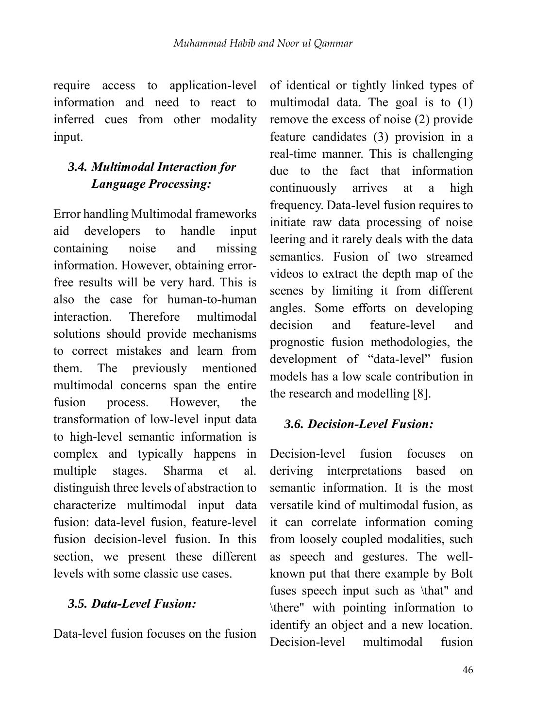require access to application-level information and need to react to inferred cues from other modality input.

# *3.4. Multimodal Interaction for Language Processing:*

Error handling Multimodal frameworks aid developers to handle input containing noise and missing information. However, obtaining errorfree results will be very hard. This is also the case for human-to-human interaction. Therefore multimodal solutions should provide mechanisms to correct mistakes and learn from them. The previously mentioned multimodal concerns span the entire fusion process. However, the transformation of low-level input data to high-level semantic information is complex and typically happens in multiple stages. Sharma et al. distinguish three levels of abstraction to characterize multimodal input data fusion: data-level fusion, feature-level fusion decision-level fusion. In this section, we present these different levels with some classic use cases.

### *3.5. Data-Level Fusion:*

Data-level fusion focuses on the fusion

of identical or tightly linked types of multimodal data. The goal is to (1) remove the excess of noise (2) provide feature candidates (3) provision in a real-time manner. This is challenging due to the fact that information continuously arrives at a high frequency. Data-level fusion requires to initiate raw data processing of noise leering and it rarely deals with the data semantics. Fusion of two streamed videos to extract the depth map of the scenes by limiting it from different angles. Some efforts on developing decision and feature-level and prognostic fusion methodologies, the development of "data-level" fusion models has a low scale contribution in the research and modelling [8].

### *3.6. Decision-Level Fusion:*

Decision-level fusion focuses on deriving interpretations based on semantic information. It is the most versatile kind of multimodal fusion, as it can correlate information coming from loosely coupled modalities, such as speech and gestures. The wellknown put that there example by Bolt fuses speech input such as \that" and \there" with pointing information to identify an object and a new location. Decision-level multimodal fusion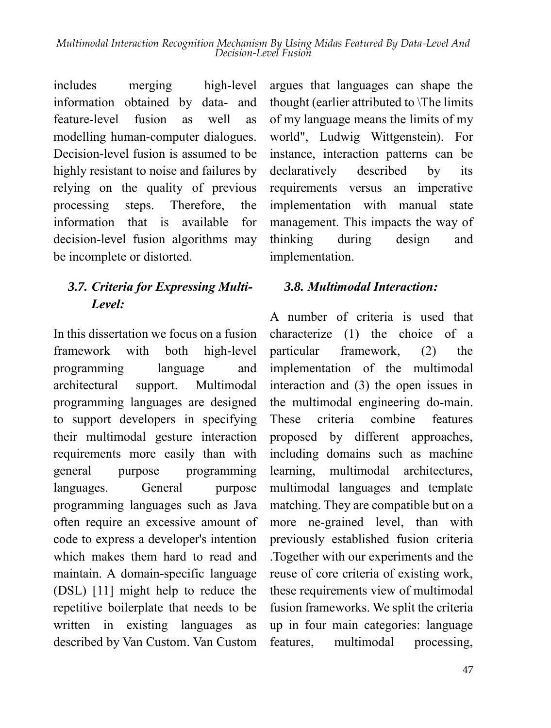includes merging high-level information obtained by data- and feature-level fusion as well as modelling human-computer dialogues. Decision-level fusion is assumed to be highly resistant to noise and failures by relying on the quality of previous processing steps. Therefore, the information that is available for decision-level fusion algorithms may be incomplete or distorted.

# *3.7. Criteria for Expressing Multi-Level:*

In this dissertation we focus on a fusion framework with both high-level programming language and architectural support. Multimodal programming languages are designed to support developers in specifying their multimodal gesture interaction requirements more easily than with general purpose programming languages. General purpose programming languages such as Java often require an excessive amount of code to express a developer's intention which makes them hard to read and maintain. A domain-specific language (DSL) [11] might help to reduce the repetitive boilerplate that needs to be written in existing languages as described by Van Custom. Van Custom

argues that languages can shape the thought (earlier attributed to \The limits of my language means the limits of my world", Ludwig Wittgenstein). For instance, interaction patterns can be declaratively described by its requirements versus an imperative implementation with manual state management. This impacts the way of thinking during design and implementation.

### *3.8. Multimodal Interaction:*

A number of criteria is used that characterize (1) the choice of a particular framework, (2) the implementation of the multimodal interaction and (3) the open issues in the multimodal engineering do-main. These criteria combine features proposed by different approaches, including domains such as machine learning, multimodal architectures, multimodal languages and template matching. They are compatible but on a more ne-grained level, than with previously established fusion criteria .Together with our experiments and the reuse of core criteria of existing work, these requirements view of multimodal fusion frameworks. We split the criteria up in four main categories: language features, multimodal processing,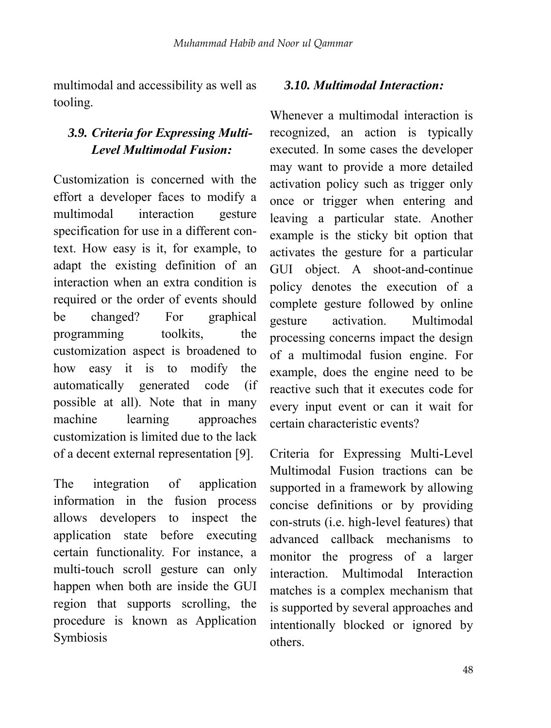multimodal and accessibility as well as tooling.

## *3.9. Criteria for Expressing Multi-Level Multimodal Fusion:*

Customization is concerned with the effort a developer faces to modify a multimodal interaction gesture specification for use in a different context. How easy is it, for example, to adapt the existing definition of an interaction when an extra condition is required or the order of events should be changed? For graphical programming toolkits, the customization aspect is broadened to how easy it is to modify the automatically generated code (if possible at all). Note that in many machine learning approaches customization is limited due to the lack of a decent external representation [9].

The integration of application information in the fusion process allows developers to inspect the application state before executing certain functionality. For instance, a multi-touch scroll gesture can only happen when both are inside the GUI region that supports scrolling, the procedure is known as Application Symbiosis

#### *3.10. Multimodal Interaction:*

Whenever a multimodal interaction is recognized, an action is typically executed. In some cases the developer may want to provide a more detailed activation policy such as trigger only once or trigger when entering and leaving a particular state. Another example is the sticky bit option that activates the gesture for a particular GUI object. A shoot-and-continue policy denotes the execution of a complete gesture followed by online gesture activation. Multimodal processing concerns impact the design of a multimodal fusion engine. For example, does the engine need to be reactive such that it executes code for every input event or can it wait for certain characteristic events?

Criteria for Expressing Multi-Level Multimodal Fusion tractions can be supported in a framework by allowing concise definitions or by providing con-struts (i.e. high-level features) that advanced callback mechanisms to monitor the progress of a larger interaction. Multimodal Interaction matches is a complex mechanism that is supported by several approaches and intentionally blocked or ignored by others.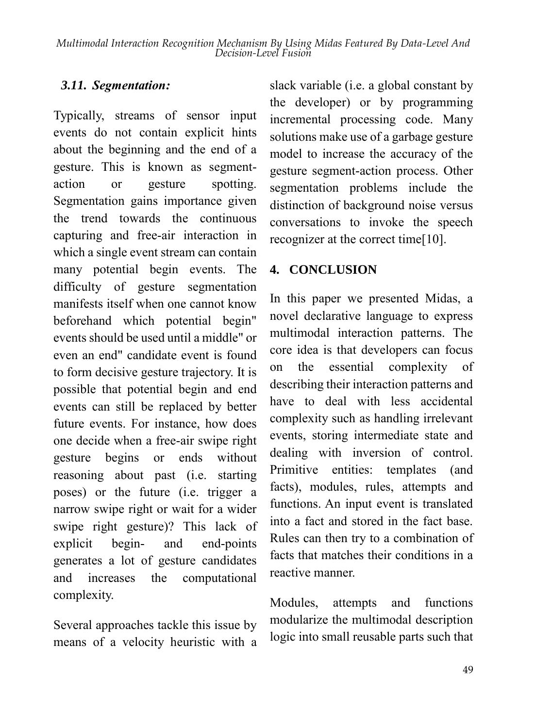#### *3.11. Segmentation:*

Typically, streams of sensor input events do not contain explicit hints about the beginning and the end of a gesture. This is known as segmentaction or gesture spotting. Segmentation gains importance given the trend towards the continuous capturing and free-air interaction in which a single event stream can contain many potential begin events. The difficulty of gesture segmentation manifests itself when one cannot know beforehand which potential begin" events should be used until a middle" or even an end" candidate event is found to form decisive gesture trajectory. It is possible that potential begin and end events can still be replaced by better future events. For instance, how does one decide when a free-air swipe right gesture begins or ends without reasoning about past (i.e. starting poses) or the future (i.e. trigger a narrow swipe right or wait for a wider swipe right gesture)? This lack of explicit begin- and end-points generates a lot of gesture candidates and increases the computational complexity.

Several approaches tackle this issue by means of a velocity heuristic with a

slack variable (i.e. a global constant by the developer) or by programming incremental processing code. Many solutions make use of a garbage gesture model to increase the accuracy of the gesture segment-action process. Other segmentation problems include the distinction of background noise versus conversations to invoke the speech recognizer at the correct time[10].

#### **4. CONCLUSION**

In this paper we presented Midas, a novel declarative language to express multimodal interaction patterns. The core idea is that developers can focus on the essential complexity of describing their interaction patterns and have to deal with less accidental complexity such as handling irrelevant events, storing intermediate state and dealing with inversion of control. Primitive entities: templates (and facts), modules, rules, attempts and functions. An input event is translated into a fact and stored in the fact base. Rules can then try to a combination of facts that matches their conditions in a reactive manner.

Modules, attempts and functions modularize the multimodal description logic into small reusable parts such that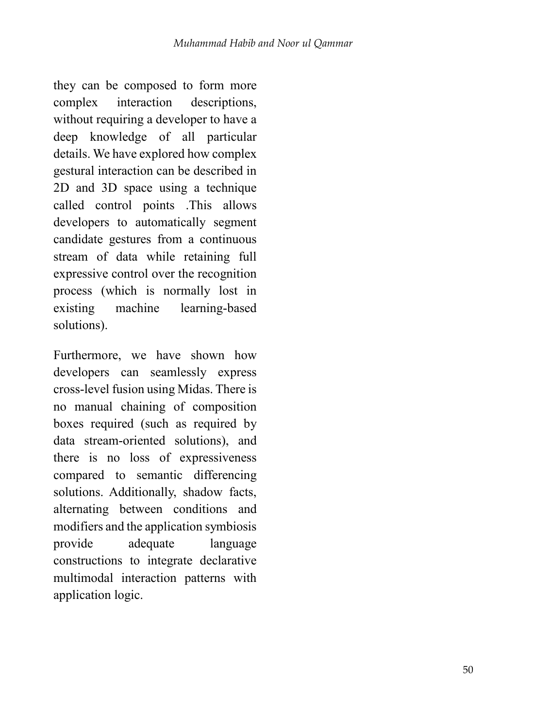they can be composed to form more complex interaction descriptions, without requiring a developer to have a deep knowledge of all particular details. We have explored how complex gestural interaction can be described in 2D and 3D space using a technique called control points .This allows developers to automatically segment candidate gestures from a continuous stream of data while retaining full expressive control over the recognition process (which is normally lost in existing machine learning-based solutions).

Furthermore, we have shown how developers can seamlessly express cross-level fusion using Midas. There is no manual chaining of composition boxes required (such as required by data stream-oriented solutions), and there is no loss of expressiveness compared to semantic differencing solutions. Additionally, shadow facts, alternating between conditions and modifiers and the application symbiosis provide adequate language constructions to integrate declarative multimodal interaction patterns with application logic.